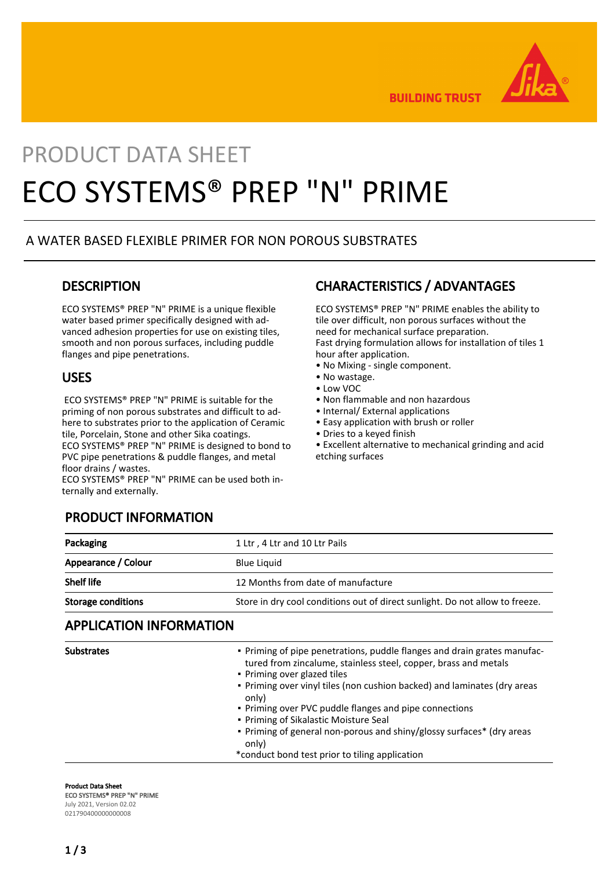

**BUILDING TRUST** 

# PRODUCT DATA SHEET ECO SYSTEMS® PREP "N" PRIME

### A WATER BASED FLEXIBLE PRIMER FOR NON POROUS SUBSTRATES

### **DESCRIPTION**

ECO SYSTEMS® PREP "N" PRIME is a unique flexible water based primer specifically designed with advanced adhesion properties for use on existing tiles, smooth and non porous surfaces, including puddle flanges and pipe penetrations.

### USES

 ECO SYSTEMS® PREP "N" PRIME is suitable for the priming of non porous substrates and difficult to adhere to substrates prior to the application of Ceramic tile, Porcelain, Stone and other Sika coatings. ECO SYSTEMS® PREP "N" PRIME is designed to bond to PVC pipe penetrations & puddle flanges, and metal floor drains / wastes.

ECO SYSTEMS® PREP "N" PRIME can be used both internally and externally.

# CHARACTERISTICS / ADVANTAGES

ECO SYSTEMS® PREP "N" PRIME enables the ability to tile over difficult, non porous surfaces without the need for mechanical surface preparation. Fast drying formulation allows for installation of tiles 1 hour after application.

- No Mixing single component.
- No wastage.
- Low VOC
- Non flammable and non hazardous
- Internal/ External applications
- Easy application with brush or roller
- Dries to a keyed finish

• Excellent alternative to mechanical grinding and acid etching surfaces

### PRODUCT INFORMATION

| Packaging                 | 1 Ltr, 4 Ltr and 10 Ltr Pails                                                |  |
|---------------------------|------------------------------------------------------------------------------|--|
| Appearance / Colour       | <b>Blue Liquid</b>                                                           |  |
| <b>Shelf life</b>         | 12 Months from date of manufacture                                           |  |
| <b>Storage conditions</b> | Store in dry cool conditions out of direct sunlight. Do not allow to freeze. |  |

### APPLICATION INFORMATION

| <b>Substrates</b> | . Priming of pipe penetrations, puddle flanges and drain grates manufac-<br>tured from zincalume, stainless steel, copper, brass and metals<br>• Priming over glazed tiles |
|-------------------|----------------------------------------------------------------------------------------------------------------------------------------------------------------------------|
|                   | . Priming over vinyl tiles (non cushion backed) and laminates (dry areas<br>only)                                                                                          |
|                   | . Priming over PVC puddle flanges and pipe connections                                                                                                                     |
|                   | • Priming of Sikalastic Moisture Seal                                                                                                                                      |
|                   | • Priming of general non-porous and shiny/glossy surfaces* (dry areas<br>only)                                                                                             |
|                   | *conduct bond test prior to tiling application                                                                                                                             |

#### Product Data Sheet

ECO SYSTEMS® PREP "N" PRIME July 2021, Version 02.02

021790400000000008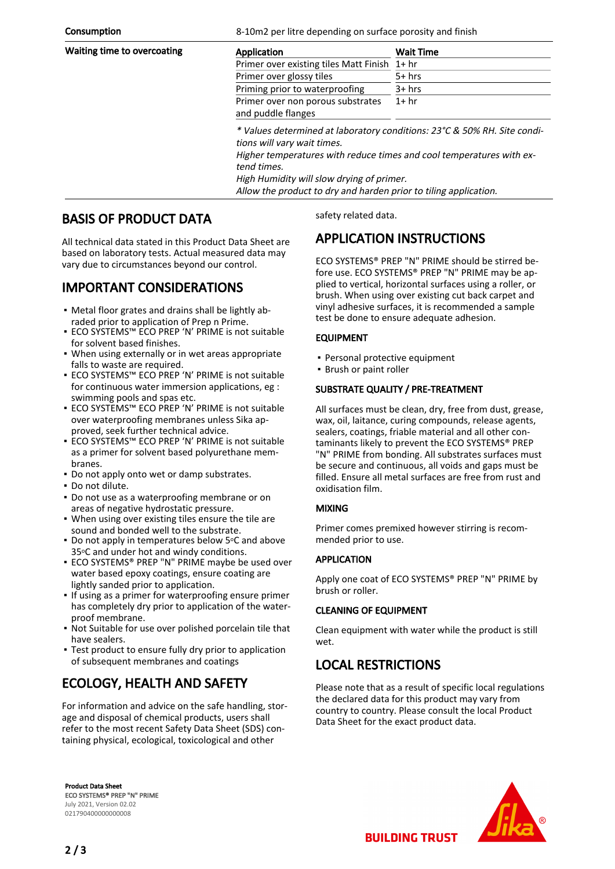**Consumption** 6-10m2 per litre depending on surface porosity and finish

| Waiting time to overcoating | Application                                                                                                                                                                                                                                                                                                     | <b>Wait Time</b> |
|-----------------------------|-----------------------------------------------------------------------------------------------------------------------------------------------------------------------------------------------------------------------------------------------------------------------------------------------------------------|------------------|
|                             | Primer over existing tiles Matt Finish 1+ hr                                                                                                                                                                                                                                                                    |                  |
|                             | Primer over glossy tiles                                                                                                                                                                                                                                                                                        | $5+$ hrs         |
|                             | Priming prior to waterproofing                                                                                                                                                                                                                                                                                  | $3+$ hrs         |
|                             | Primer over non porous substrates<br>and puddle flanges                                                                                                                                                                                                                                                         | $1+hr$           |
|                             | * Values determined at laboratory conditions: 23°C & 50% RH. Site condi-<br>tions will vary wait times.<br>Higher temperatures with reduce times and cool temperatures with ex-<br>tend times.<br>High Humidity will slow drying of primer.<br>Allow the product to dry and harden prior to tiling application. |                  |

# BASIS OF PRODUCT DATA

All technical data stated in this Product Data Sheet are based on laboratory tests. Actual measured data may vary due to circumstances beyond our control.

# IMPORTANT CONSIDERATIONS

- Metal floor grates and drains shall be lightly ab-▪ raded prior to application of Prep n Prime.
- ECO SYSTEMS™ ECO PREP 'N' PRIME is not suitable for solvent based finishes.
- When using externally or in wet areas appropriate falls to waste are required.
- ECO SYSTEMS™ ECO PREP 'N' PRIME is not suitable for continuous water immersion applications, eg : swimming pools and spas etc.
- ECO SYSTEMS™ ECO PREP 'N' PRIME is not suitable over waterproofing membranes unless Sika approved, seek further technical advice.
- ECO SYSTEMS™ ECO PREP 'N' PRIME is not suitable as a primer for solvent based polyurethane membranes.
- **Do not apply onto wet or damp substrates.**
- Do not dilute.
- Do not use as a waterproofing membrane or on areas of negative hydrostatic pressure.
- When using over existing tiles ensure the tile are sound and bonded well to the substrate.
- Do not apply in temperatures below 5°C and above 35°C and under hot and windy conditions.
- **ECO SYSTEMS® PREP "N" PRIME maybe be used over** water based epoxy coatings, ensure coating are lightly sanded prior to application.
- **.** If using as a primer for waterproofing ensure primer has completely dry prior to application of the waterproof membrane.
- Not Suitable for use over polished porcelain tile that have sealers.
- Test product to ensure fully dry prior to application of subsequent membranes and coatings

# ECOLOGY, HEALTH AND SAFETY

For information and advice on the safe handling, storage and disposal of chemical products, users shall refer to the most recent Safety Data Sheet (SDS) containing physical, ecological, toxicological and other

Product Data Sheet ECO SYSTEMS® PREP "N" PRIME July 2021, Version 02.02 021790400000000008

safety related data.

# APPLICATION INSTRUCTIONS

ECO SYSTEMS® PREP "N" PRIME should be stirred before use. ECO SYSTEMS® PREP "N" PRIME may be applied to vertical, horizontal surfaces using a roller, or brush. When using over existing cut back carpet and vinyl adhesive surfaces, it is recommended a sample test be done to ensure adequate adhesion.

#### EQUIPMENT

- Personal protective equipment
- Brush or paint roller

#### SUBSTRATE QUALITY / PRE-TREATMENT

All surfaces must be clean, dry, free from dust, grease, wax, oil, laitance, curing compounds, release agents, sealers, coatings, friable material and all other contaminants likely to prevent the ECO SYSTEMS® PREP "N" PRIME from bonding. All substrates surfaces must be secure and continuous, all voids and gaps must be filled. Ensure all metal surfaces are free from rust and oxidisation film.

#### MIXING

Primer comes premixed however stirring is recommended prior to use.

#### APPLICATION

Apply one coat of ECO SYSTEMS® PREP "N" PRIME by brush or roller.

#### CLEANING OF EQUIPMENT

Clean equipment with water while the product is still wet.

### LOCAL RESTRICTIONS

Please note that as a result of specific local regulations the declared data for this product may vary from country to country. Please consult the local Product Data Sheet for the exact product data.



2 / 3

**BUILDING TRUST**